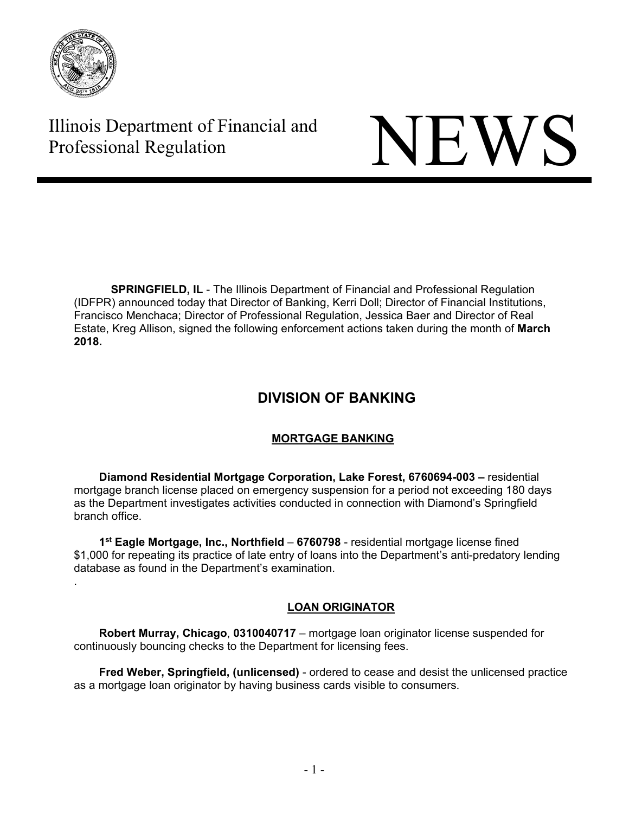

.

# Illinois Department of Financial and Illinois Department of Financial and<br>Professional Regulation



**SPRINGFIELD, IL** - The Illinois Department of Financial and Professional Regulation (IDFPR) announced today that Director of Banking, Kerri Doll; Director of Financial Institutions, Francisco Menchaca; Director of Professional Regulation, Jessica Baer and Director of Real Estate, Kreg Allison, signed the following enforcement actions taken during the month of **March 2018.** 

# **DIVISION OF BANKING**

# **MORTGAGE BANKING**

 **Diamond Residential Mortgage Corporation, Lake Forest, 6760694-003 –** residential mortgage branch license placed on emergency suspension for a period not exceeding 180 days as the Department investigates activities conducted in connection with Diamond's Springfield branch office.

 **1st Eagle Mortgage, Inc., Northfield** – **6760798** - residential mortgage license fined \$1,000 for repeating its practice of late entry of loans into the Department's anti-predatory lending database as found in the Department's examination.

# **LOAN ORIGINATOR**

 **Robert Murray, Chicago**, **0310040717** – mortgage loan originator license suspended for continuously bouncing checks to the Department for licensing fees.

 **Fred Weber, Springfield, (unlicensed)** - ordered to cease and desist the unlicensed practice as a mortgage loan originator by having business cards visible to consumers.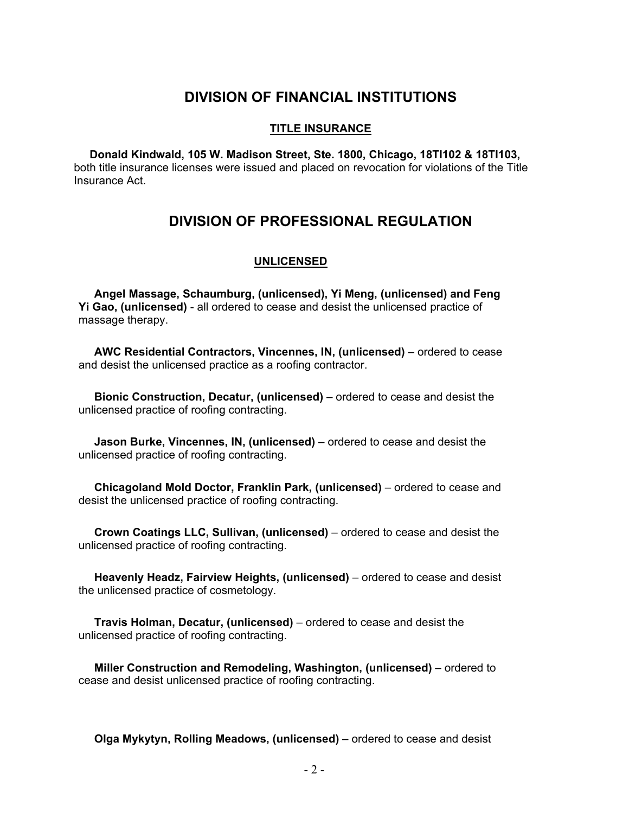# **DIVISION OF FINANCIAL INSTITUTIONS**

#### **TITLE INSURANCE**

 **Donald Kindwald, 105 W. Madison Street, Ste. 1800, Chicago, 18TI102 & 18TI103,**  both title insurance licenses were issued and placed on revocation for violations of the Title Insurance Act.

# **DIVISION OF PROFESSIONAL REGULATION**

# **UNLICENSED**

 **Angel Massage, Schaumburg, (unlicensed), Yi Meng, (unlicensed) and Feng Yi Gao, (unlicensed)** - all ordered to cease and desist the unlicensed practice of massage therapy.

 **AWC Residential Contractors, Vincennes, IN, (unlicensed)** – ordered to cease and desist the unlicensed practice as a roofing contractor.

 **Bionic Construction, Decatur, (unlicensed)** – ordered to cease and desist the unlicensed practice of roofing contracting.

 **Jason Burke, Vincennes, IN, (unlicensed)** – ordered to cease and desist the unlicensed practice of roofing contracting.

 **Chicagoland Mold Doctor, Franklin Park, (unlicensed)** – ordered to cease and desist the unlicensed practice of roofing contracting.

 **Crown Coatings LLC, Sullivan, (unlicensed)** – ordered to cease and desist the unlicensed practice of roofing contracting.

 **Heavenly Headz, Fairview Heights, (unlicensed)** – ordered to cease and desist the unlicensed practice of cosmetology.

 **Travis Holman, Decatur, (unlicensed)** – ordered to cease and desist the unlicensed practice of roofing contracting.

 **Miller Construction and Remodeling, Washington, (unlicensed)** – ordered to cease and desist unlicensed practice of roofing contracting.

**Olga Mykytyn, Rolling Meadows, (unlicensed)** – ordered to cease and desist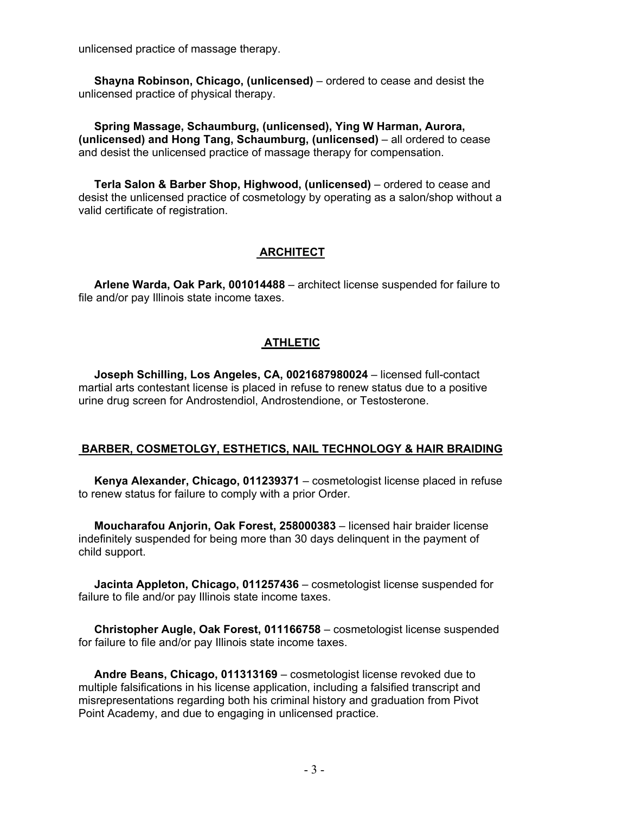unlicensed practice of massage therapy.

 **Shayna Robinson, Chicago, (unlicensed)** – ordered to cease and desist the unlicensed practice of physical therapy.

 **Spring Massage, Schaumburg, (unlicensed), Ying W Harman, Aurora, (unlicensed) and Hong Tang, Schaumburg, (unlicensed)** – all ordered to cease and desist the unlicensed practice of massage therapy for compensation.

 **Terla Salon & Barber Shop, Highwood, (unlicensed)** – ordered to cease and desist the unlicensed practice of cosmetology by operating as a salon/shop without a valid certificate of registration.

# **ARCHITECT**

 **Arlene Warda, Oak Park, 001014488** – architect license suspended for failure to file and/or pay Illinois state income taxes.

# **ATHLETIC**

 **Joseph Schilling, Los Angeles, CA, 0021687980024** – licensed full-contact martial arts contestant license is placed in refuse to renew status due to a positive urine drug screen for Androstendiol, Androstendione, or Testosterone.

# **BARBER, COSMETOLGY, ESTHETICS, NAIL TECHNOLOGY & HAIR BRAIDING**

 **Kenya Alexander, Chicago, 011239371** – cosmetologist license placed in refuse to renew status for failure to comply with a prior Order.

 **Moucharafou Anjorin, Oak Forest, 258000383** – licensed hair braider license indefinitely suspended for being more than 30 days delinquent in the payment of child support.

 **Jacinta Appleton, Chicago, 011257436** – cosmetologist license suspended for failure to file and/or pay Illinois state income taxes.

 **Christopher Augle, Oak Forest, 011166758** – cosmetologist license suspended for failure to file and/or pay Illinois state income taxes.

 **Andre Beans, Chicago, 011313169** – cosmetologist license revoked due to multiple falsifications in his license application, including a falsified transcript and misrepresentations regarding both his criminal history and graduation from Pivot Point Academy, and due to engaging in unlicensed practice.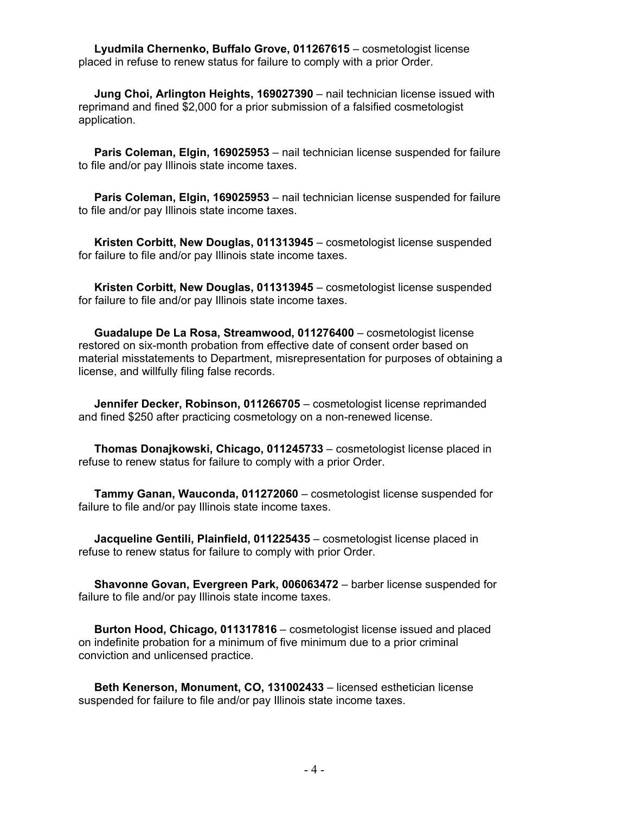**Lyudmila Chernenko, Buffalo Grove, 011267615** – cosmetologist license placed in refuse to renew status for failure to comply with a prior Order.

 **Jung Choi, Arlington Heights, 169027390** – nail technician license issued with reprimand and fined \$2,000 for a prior submission of a falsified cosmetologist application.

 **Paris Coleman, Elgin, 169025953** – nail technician license suspended for failure to file and/or pay Illinois state income taxes.

 **Paris Coleman, Elgin, 169025953** – nail technician license suspended for failure to file and/or pay Illinois state income taxes.

 **Kristen Corbitt, New Douglas, 011313945** – cosmetologist license suspended for failure to file and/or pay Illinois state income taxes.

 **Kristen Corbitt, New Douglas, 011313945** – cosmetologist license suspended for failure to file and/or pay Illinois state income taxes.

 **Guadalupe De La Rosa, Streamwood, 011276400** – cosmetologist license restored on six-month probation from effective date of consent order based on material misstatements to Department, misrepresentation for purposes of obtaining a license, and willfully filing false records.

 **Jennifer Decker, Robinson, 011266705** – cosmetologist license reprimanded and fined \$250 after practicing cosmetology on a non-renewed license.

 **Thomas Donajkowski, Chicago, 011245733** – cosmetologist license placed in refuse to renew status for failure to comply with a prior Order.

 **Tammy Ganan, Wauconda, 011272060** – cosmetologist license suspended for failure to file and/or pay Illinois state income taxes.

 **Jacqueline Gentili, Plainfield, 011225435** – cosmetologist license placed in refuse to renew status for failure to comply with prior Order.

 **Shavonne Govan, Evergreen Park, 006063472** – barber license suspended for failure to file and/or pay Illinois state income taxes.

 **Burton Hood, Chicago, 011317816** – cosmetologist license issued and placed on indefinite probation for a minimum of five minimum due to a prior criminal conviction and unlicensed practice.

 **Beth Kenerson, Monument, CO, 131002433** – licensed esthetician license suspended for failure to file and/or pay Illinois state income taxes.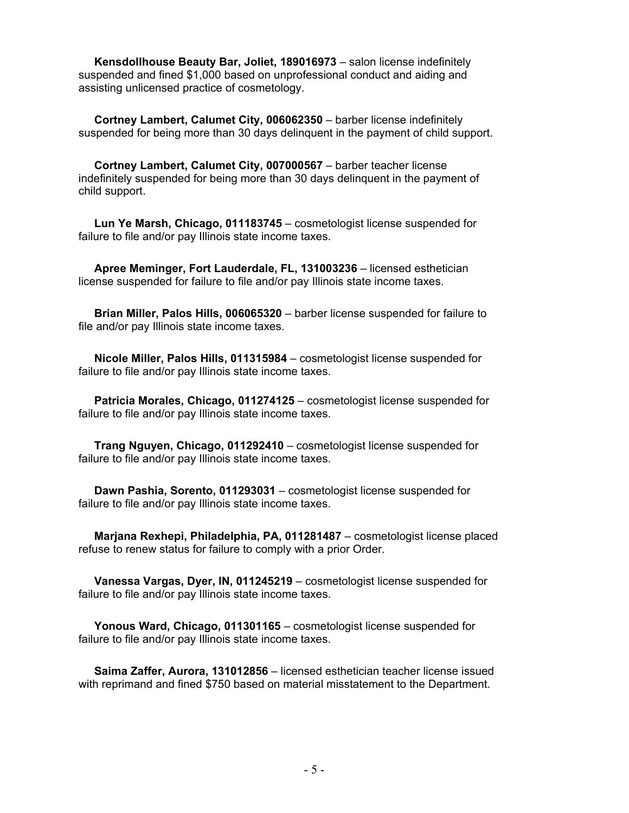**Kensdollhouse Beauty Bar, Joliet, 189016973** – salon license indefinitely suspended and fined \$1,000 based on unprofessional conduct and aiding and assisting unlicensed practice of cosmetology.

 **Cortney Lambert, Calumet City, 006062350** – barber license indefinitely suspended for being more than 30 days delinquent in the payment of child support.

 **Cortney Lambert, Calumet City, 007000567** – barber teacher license indefinitely suspended for being more than 30 days delinquent in the payment of child support.

 **Lun Ye Marsh, Chicago, 011183745** – cosmetologist license suspended for failure to file and/or pay Illinois state income taxes.

 **Apree Meminger, Fort Lauderdale, FL, 131003236** – licensed esthetician license suspended for failure to file and/or pay Illinois state income taxes.

 **Brian Miller, Palos Hills, 006065320** – barber license suspended for failure to file and/or pay Illinois state income taxes.

 **Nicole Miller, Palos Hills, 011315984** – cosmetologist license suspended for failure to file and/or pay Illinois state income taxes.

 **Patricia Morales, Chicago, 011274125** – cosmetologist license suspended for failure to file and/or pay Illinois state income taxes.

 **Trang Nguyen, Chicago, 011292410** – cosmetologist license suspended for failure to file and/or pay Illinois state income taxes.

 **Dawn Pashia, Sorento, 011293031** – cosmetologist license suspended for failure to file and/or pay Illinois state income taxes.

 **Marjana Rexhepi, Philadelphia, PA, 011281487** – cosmetologist license placed refuse to renew status for failure to comply with a prior Order.

 **Vanessa Vargas, Dyer, IN, 011245219** – cosmetologist license suspended for failure to file and/or pay Illinois state income taxes.

 **Yonous Ward, Chicago, 011301165** – cosmetologist license suspended for failure to file and/or pay Illinois state income taxes.

 **Saima Zaffer, Aurora, 131012856** – licensed esthetician teacher license issued with reprimand and fined \$750 based on material misstatement to the Department.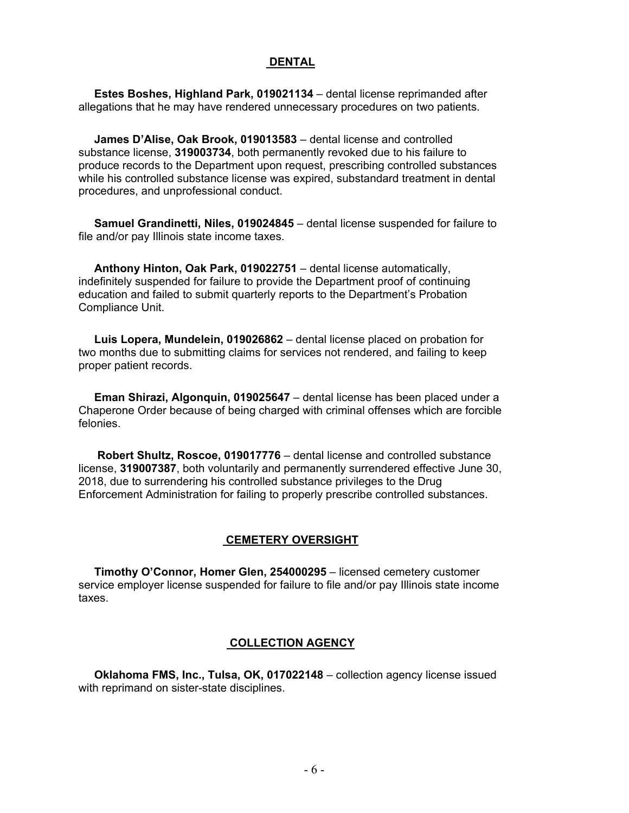#### **DENTAL**

 **Estes Boshes, Highland Park, 019021134** – dental license reprimanded after allegations that he may have rendered unnecessary procedures on two patients.

 **James D'Alise, Oak Brook, 019013583** – dental license and controlled substance license, **319003734**, both permanently revoked due to his failure to produce records to the Department upon request, prescribing controlled substances while his controlled substance license was expired, substandard treatment in dental procedures, and unprofessional conduct.

 **Samuel Grandinetti, Niles, 019024845** – dental license suspended for failure to file and/or pay Illinois state income taxes.

 **Anthony Hinton, Oak Park, 019022751** – dental license automatically, indefinitely suspended for failure to provide the Department proof of continuing education and failed to submit quarterly reports to the Department's Probation Compliance Unit.

 **Luis Lopera, Mundelein, 019026862** – dental license placed on probation for two months due to submitting claims for services not rendered, and failing to keep proper patient records.

 **Eman Shirazi, Algonquin, 019025647** – dental license has been placed under a Chaperone Order because of being charged with criminal offenses which are forcible felonies.

 **Robert Shultz, Roscoe, 019017776** – dental license and controlled substance license, **319007387**, both voluntarily and permanently surrendered effective June 30, 2018, due to surrendering his controlled substance privileges to the Drug Enforcement Administration for failing to properly prescribe controlled substances.

#### **CEMETERY OVERSIGHT**

 **Timothy O'Connor, Homer Glen, 254000295** – licensed cemetery customer service employer license suspended for failure to file and/or pay Illinois state income taxes.

#### **COLLECTION AGENCY**

 **Oklahoma FMS, Inc., Tulsa, OK, 017022148** – collection agency license issued with reprimand on sister-state disciplines.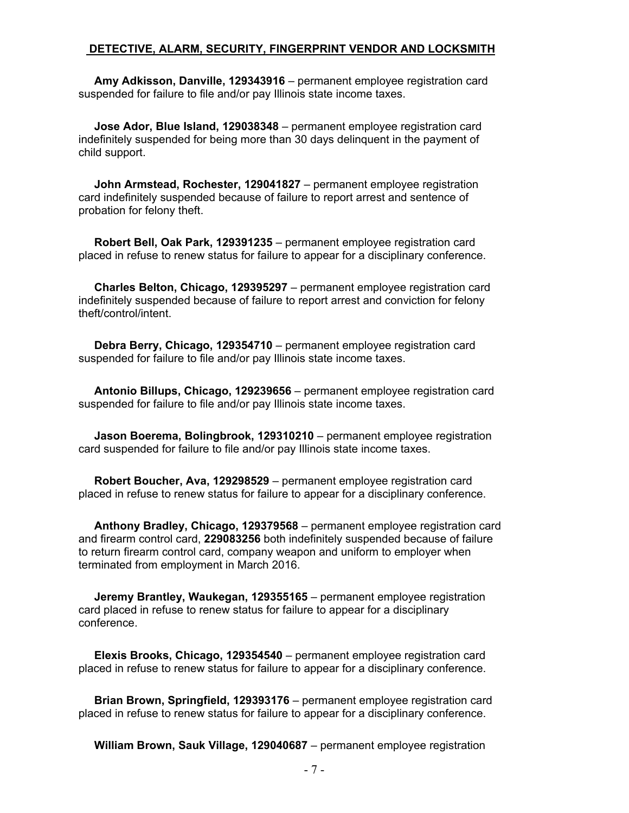#### **DETECTIVE, ALARM, SECURITY, FINGERPRINT VENDOR AND LOCKSMITH**

 **Amy Adkisson, Danville, 129343916** – permanent employee registration card suspended for failure to file and/or pay Illinois state income taxes.

 **Jose Ador, Blue Island, 129038348** – permanent employee registration card indefinitely suspended for being more than 30 days delinquent in the payment of child support.

 **John Armstead, Rochester, 129041827** – permanent employee registration card indefinitely suspended because of failure to report arrest and sentence of probation for felony theft.

 **Robert Bell, Oak Park, 129391235** – permanent employee registration card placed in refuse to renew status for failure to appear for a disciplinary conference.

 **Charles Belton, Chicago, 129395297** – permanent employee registration card indefinitely suspended because of failure to report arrest and conviction for felony theft/control/intent.

 **Debra Berry, Chicago, 129354710** – permanent employee registration card suspended for failure to file and/or pay Illinois state income taxes.

 **Antonio Billups, Chicago, 129239656** – permanent employee registration card suspended for failure to file and/or pay Illinois state income taxes.

 **Jason Boerema, Bolingbrook, 129310210** – permanent employee registration card suspended for failure to file and/or pay Illinois state income taxes.

 **Robert Boucher, Ava, 129298529** – permanent employee registration card placed in refuse to renew status for failure to appear for a disciplinary conference.

 **Anthony Bradley, Chicago, 129379568** – permanent employee registration card and firearm control card, **229083256** both indefinitely suspended because of failure to return firearm control card, company weapon and uniform to employer when terminated from employment in March 2016.

 **Jeremy Brantley, Waukegan, 129355165** – permanent employee registration card placed in refuse to renew status for failure to appear for a disciplinary conference.

 **Elexis Brooks, Chicago, 129354540** – permanent employee registration card placed in refuse to renew status for failure to appear for a disciplinary conference.

 **Brian Brown, Springfield, 129393176** – permanent employee registration card placed in refuse to renew status for failure to appear for a disciplinary conference.

**William Brown, Sauk Village, 129040687** – permanent employee registration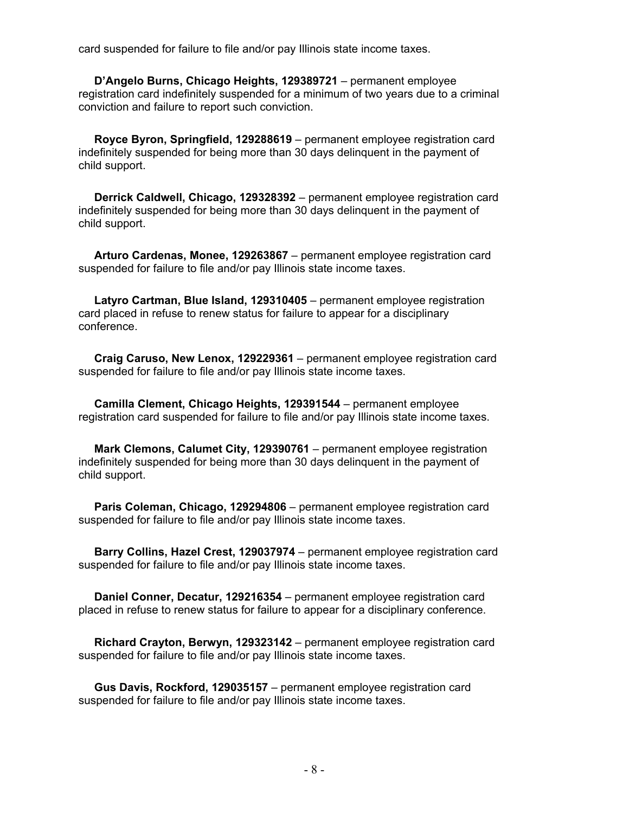card suspended for failure to file and/or pay Illinois state income taxes.

 **D'Angelo Burns, Chicago Heights, 129389721** – permanent employee registration card indefinitely suspended for a minimum of two years due to a criminal conviction and failure to report such conviction.

 **Royce Byron, Springfield, 129288619** – permanent employee registration card indefinitely suspended for being more than 30 days delinquent in the payment of child support.

 **Derrick Caldwell, Chicago, 129328392** – permanent employee registration card indefinitely suspended for being more than 30 days delinquent in the payment of child support.

 **Arturo Cardenas, Monee, 129263867** – permanent employee registration card suspended for failure to file and/or pay Illinois state income taxes.

 **Latyro Cartman, Blue Island, 129310405** – permanent employee registration card placed in refuse to renew status for failure to appear for a disciplinary conference.

 **Craig Caruso, New Lenox, 129229361** – permanent employee registration card suspended for failure to file and/or pay Illinois state income taxes.

 **Camilla Clement, Chicago Heights, 129391544** – permanent employee registration card suspended for failure to file and/or pay Illinois state income taxes.

 **Mark Clemons, Calumet City, 129390761** – permanent employee registration indefinitely suspended for being more than 30 days delinquent in the payment of child support.

 **Paris Coleman, Chicago, 129294806** – permanent employee registration card suspended for failure to file and/or pay Illinois state income taxes.

 **Barry Collins, Hazel Crest, 129037974** – permanent employee registration card suspended for failure to file and/or pay Illinois state income taxes.

 **Daniel Conner, Decatur, 129216354** – permanent employee registration card placed in refuse to renew status for failure to appear for a disciplinary conference.

 **Richard Crayton, Berwyn, 129323142** – permanent employee registration card suspended for failure to file and/or pay Illinois state income taxes.

 **Gus Davis, Rockford, 129035157** – permanent employee registration card suspended for failure to file and/or pay Illinois state income taxes.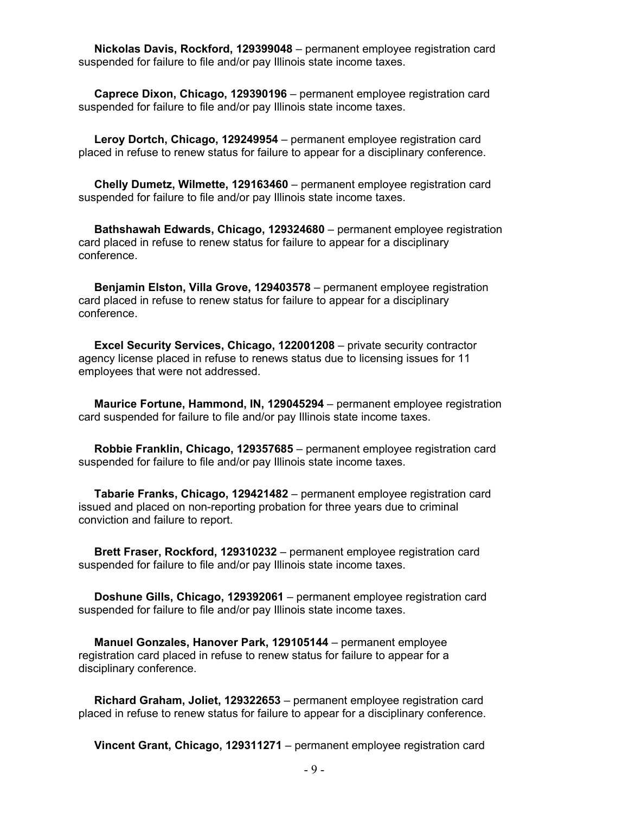**Nickolas Davis, Rockford, 129399048** – permanent employee registration card suspended for failure to file and/or pay Illinois state income taxes.

 **Caprece Dixon, Chicago, 129390196** – permanent employee registration card suspended for failure to file and/or pay Illinois state income taxes.

 **Leroy Dortch, Chicago, 129249954** – permanent employee registration card placed in refuse to renew status for failure to appear for a disciplinary conference.

 **Chelly Dumetz, Wilmette, 129163460** – permanent employee registration card suspended for failure to file and/or pay Illinois state income taxes.

 **Bathshawah Edwards, Chicago, 129324680** – permanent employee registration card placed in refuse to renew status for failure to appear for a disciplinary conference.

 **Benjamin Elston, Villa Grove, 129403578** – permanent employee registration card placed in refuse to renew status for failure to appear for a disciplinary conference.

 **Excel Security Services, Chicago, 122001208** – private security contractor agency license placed in refuse to renews status due to licensing issues for 11 employees that were not addressed.

 **Maurice Fortune, Hammond, IN, 129045294** – permanent employee registration card suspended for failure to file and/or pay Illinois state income taxes.

 **Robbie Franklin, Chicago, 129357685** – permanent employee registration card suspended for failure to file and/or pay Illinois state income taxes.

 **Tabarie Franks, Chicago, 129421482** – permanent employee registration card issued and placed on non-reporting probation for three years due to criminal conviction and failure to report.

 **Brett Fraser, Rockford, 129310232** – permanent employee registration card suspended for failure to file and/or pay Illinois state income taxes.

 **Doshune Gills, Chicago, 129392061** – permanent employee registration card suspended for failure to file and/or pay Illinois state income taxes.

 **Manuel Gonzales, Hanover Park, 129105144** – permanent employee registration card placed in refuse to renew status for failure to appear for a disciplinary conference.

 **Richard Graham, Joliet, 129322653** – permanent employee registration card placed in refuse to renew status for failure to appear for a disciplinary conference.

**Vincent Grant, Chicago, 129311271** – permanent employee registration card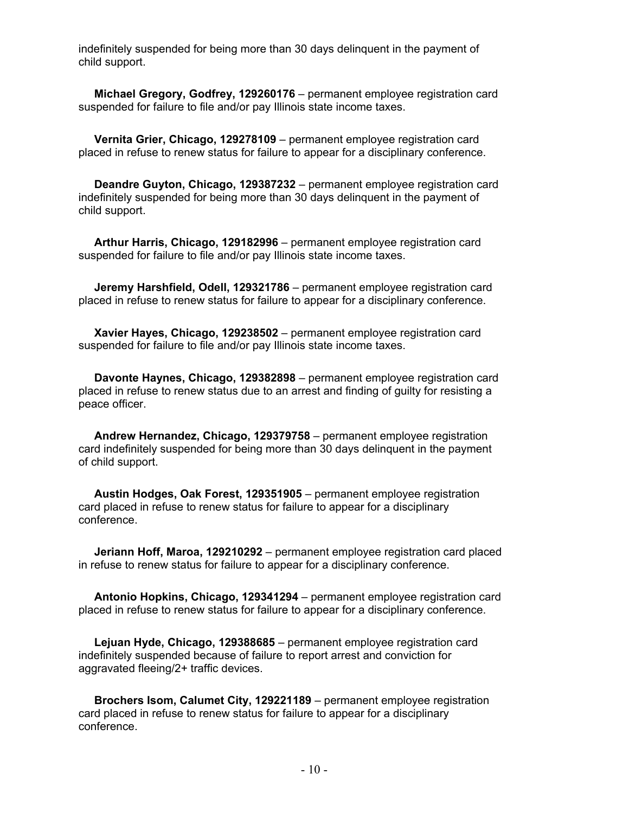indefinitely suspended for being more than 30 days delinquent in the payment of child support.

 **Michael Gregory, Godfrey, 129260176** – permanent employee registration card suspended for failure to file and/or pay Illinois state income taxes.

 **Vernita Grier, Chicago, 129278109** – permanent employee registration card placed in refuse to renew status for failure to appear for a disciplinary conference.

 **Deandre Guyton, Chicago, 129387232** – permanent employee registration card indefinitely suspended for being more than 30 days delinquent in the payment of child support.

 **Arthur Harris, Chicago, 129182996** – permanent employee registration card suspended for failure to file and/or pay Illinois state income taxes.

 **Jeremy Harshfield, Odell, 129321786** – permanent employee registration card placed in refuse to renew status for failure to appear for a disciplinary conference.

 **Xavier Hayes, Chicago, 129238502** – permanent employee registration card suspended for failure to file and/or pay Illinois state income taxes.

 **Davonte Haynes, Chicago, 129382898** – permanent employee registration card placed in refuse to renew status due to an arrest and finding of guilty for resisting a peace officer.

 **Andrew Hernandez, Chicago, 129379758** – permanent employee registration card indefinitely suspended for being more than 30 days delinquent in the payment of child support.

 **Austin Hodges, Oak Forest, 129351905** – permanent employee registration card placed in refuse to renew status for failure to appear for a disciplinary conference.

 **Jeriann Hoff, Maroa, 129210292** – permanent employee registration card placed in refuse to renew status for failure to appear for a disciplinary conference.

 **Antonio Hopkins, Chicago, 129341294** – permanent employee registration card placed in refuse to renew status for failure to appear for a disciplinary conference.

 **Lejuan Hyde, Chicago, 129388685** – permanent employee registration card indefinitely suspended because of failure to report arrest and conviction for aggravated fleeing/2+ traffic devices.

 **Brochers Isom, Calumet City, 129221189** – permanent employee registration card placed in refuse to renew status for failure to appear for a disciplinary conference.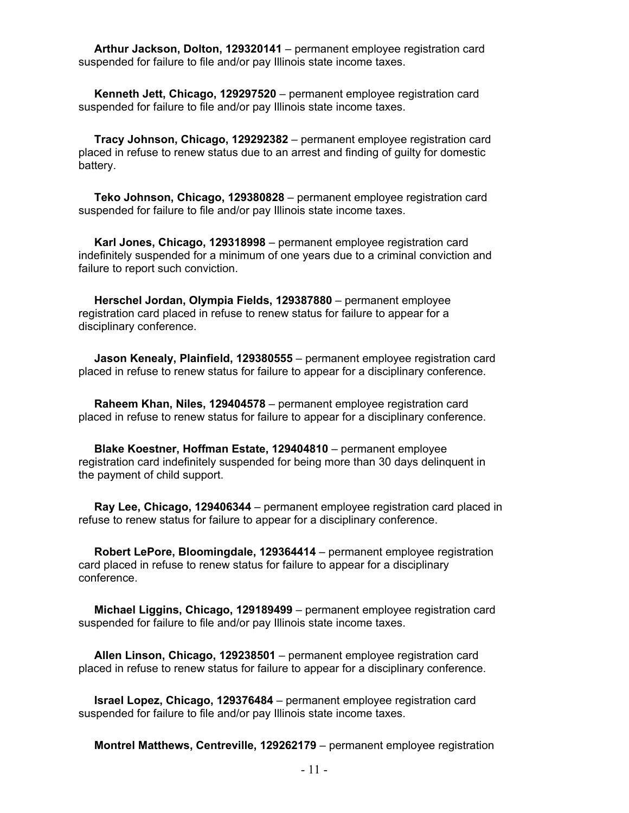**Arthur Jackson, Dolton, 129320141** – permanent employee registration card suspended for failure to file and/or pay Illinois state income taxes.

 **Kenneth Jett, Chicago, 129297520** – permanent employee registration card suspended for failure to file and/or pay Illinois state income taxes.

 **Tracy Johnson, Chicago, 129292382** – permanent employee registration card placed in refuse to renew status due to an arrest and finding of guilty for domestic battery.

 **Teko Johnson, Chicago, 129380828** – permanent employee registration card suspended for failure to file and/or pay Illinois state income taxes.

 **Karl Jones, Chicago, 129318998** – permanent employee registration card indefinitely suspended for a minimum of one years due to a criminal conviction and failure to report such conviction.

 **Herschel Jordan, Olympia Fields, 129387880** – permanent employee registration card placed in refuse to renew status for failure to appear for a disciplinary conference.

 **Jason Kenealy, Plainfield, 129380555** – permanent employee registration card placed in refuse to renew status for failure to appear for a disciplinary conference.

 **Raheem Khan, Niles, 129404578** – permanent employee registration card placed in refuse to renew status for failure to appear for a disciplinary conference.

 **Blake Koestner, Hoffman Estate, 129404810** – permanent employee registration card indefinitely suspended for being more than 30 days delinquent in the payment of child support.

 **Ray Lee, Chicago, 129406344** – permanent employee registration card placed in refuse to renew status for failure to appear for a disciplinary conference.

 **Robert LePore, Bloomingdale, 129364414** – permanent employee registration card placed in refuse to renew status for failure to appear for a disciplinary conference.

 **Michael Liggins, Chicago, 129189499** – permanent employee registration card suspended for failure to file and/or pay Illinois state income taxes.

 **Allen Linson, Chicago, 129238501** – permanent employee registration card placed in refuse to renew status for failure to appear for a disciplinary conference.

 **Israel Lopez, Chicago, 129376484** – permanent employee registration card suspended for failure to file and/or pay Illinois state income taxes.

**Montrel Matthews, Centreville, 129262179** – permanent employee registration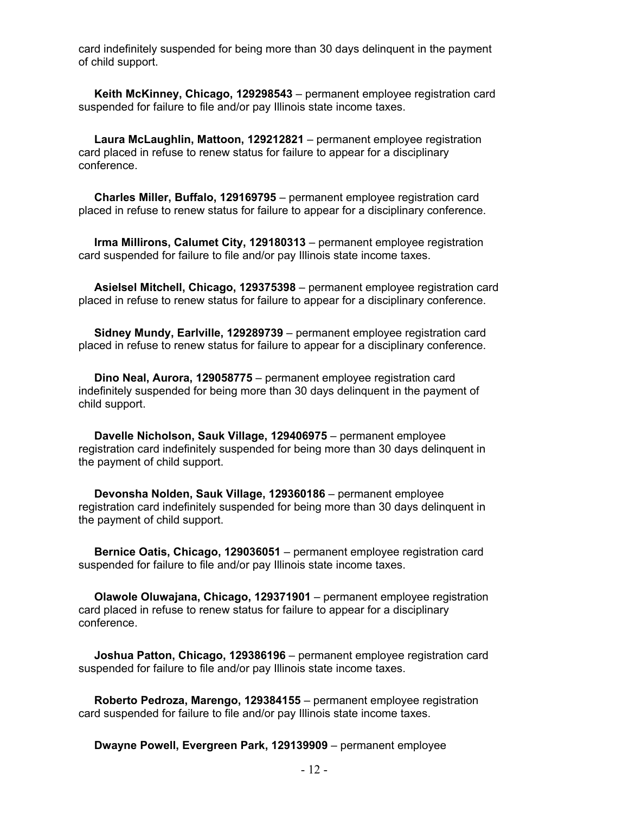card indefinitely suspended for being more than 30 days delinquent in the payment of child support.

 **Keith McKinney, Chicago, 129298543** – permanent employee registration card suspended for failure to file and/or pay Illinois state income taxes.

 **Laura McLaughlin, Mattoon, 129212821** – permanent employee registration card placed in refuse to renew status for failure to appear for a disciplinary conference.

 **Charles Miller, Buffalo, 129169795** – permanent employee registration card placed in refuse to renew status for failure to appear for a disciplinary conference.

 **Irma Millirons, Calumet City, 129180313** – permanent employee registration card suspended for failure to file and/or pay Illinois state income taxes.

 **Asielsel Mitchell, Chicago, 129375398** – permanent employee registration card placed in refuse to renew status for failure to appear for a disciplinary conference.

 **Sidney Mundy, Earlville, 129289739** – permanent employee registration card placed in refuse to renew status for failure to appear for a disciplinary conference.

 **Dino Neal, Aurora, 129058775** – permanent employee registration card indefinitely suspended for being more than 30 days delinquent in the payment of child support.

 **Davelle Nicholson, Sauk Village, 129406975** – permanent employee registration card indefinitely suspended for being more than 30 days delinquent in the payment of child support.

 **Devonsha Nolden, Sauk Village, 129360186** – permanent employee registration card indefinitely suspended for being more than 30 days delinquent in the payment of child support.

 **Bernice Oatis, Chicago, 129036051** – permanent employee registration card suspended for failure to file and/or pay Illinois state income taxes.

 **Olawole Oluwajana, Chicago, 129371901** – permanent employee registration card placed in refuse to renew status for failure to appear for a disciplinary conference.

 **Joshua Patton, Chicago, 129386196** – permanent employee registration card suspended for failure to file and/or pay Illinois state income taxes.

 **Roberto Pedroza, Marengo, 129384155** – permanent employee registration card suspended for failure to file and/or pay Illinois state income taxes.

**Dwayne Powell, Evergreen Park, 129139909** – permanent employee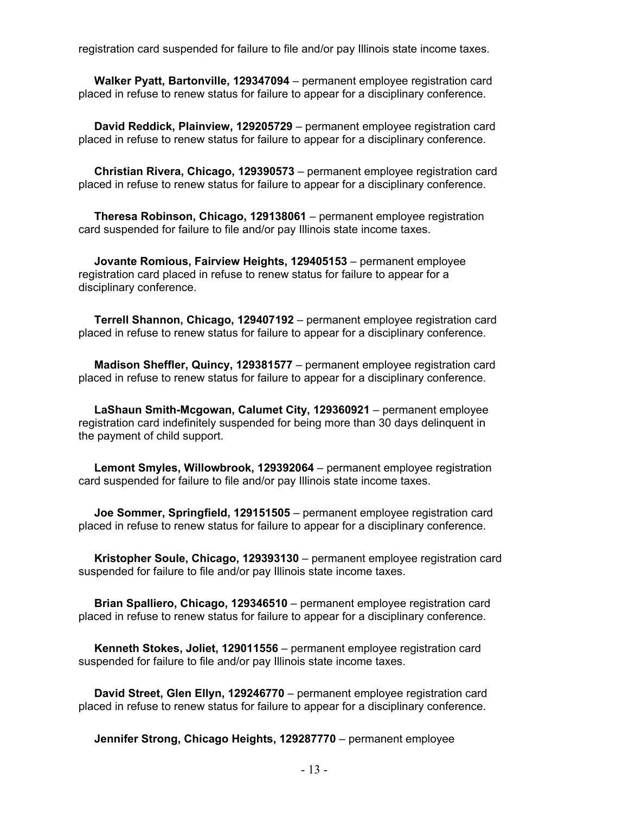registration card suspended for failure to file and/or pay Illinois state income taxes.

 **Walker Pyatt, Bartonville, 129347094** – permanent employee registration card placed in refuse to renew status for failure to appear for a disciplinary conference.

 **David Reddick, Plainview, 129205729** – permanent employee registration card placed in refuse to renew status for failure to appear for a disciplinary conference.

 **Christian Rivera, Chicago, 129390573** – permanent employee registration card placed in refuse to renew status for failure to appear for a disciplinary conference.

 **Theresa Robinson, Chicago, 129138061** – permanent employee registration card suspended for failure to file and/or pay Illinois state income taxes.

 **Jovante Romious, Fairview Heights, 129405153** – permanent employee registration card placed in refuse to renew status for failure to appear for a disciplinary conference.

 **Terrell Shannon, Chicago, 129407192** – permanent employee registration card placed in refuse to renew status for failure to appear for a disciplinary conference.

 **Madison Sheffler, Quincy, 129381577** – permanent employee registration card placed in refuse to renew status for failure to appear for a disciplinary conference.

 **LaShaun Smith-Mcgowan, Calumet City, 129360921** – permanent employee registration card indefinitely suspended for being more than 30 days delinquent in the payment of child support.

 **Lemont Smyles, Willowbrook, 129392064** – permanent employee registration card suspended for failure to file and/or pay Illinois state income taxes.

 **Joe Sommer, Springfield, 129151505** – permanent employee registration card placed in refuse to renew status for failure to appear for a disciplinary conference.

 **Kristopher Soule, Chicago, 129393130** – permanent employee registration card suspended for failure to file and/or pay Illinois state income taxes.

 **Brian Spalliero, Chicago, 129346510** – permanent employee registration card placed in refuse to renew status for failure to appear for a disciplinary conference.

 **Kenneth Stokes, Joliet, 129011556** – permanent employee registration card suspended for failure to file and/or pay Illinois state income taxes.

 **David Street, Glen Ellyn, 129246770** – permanent employee registration card placed in refuse to renew status for failure to appear for a disciplinary conference.

**Jennifer Strong, Chicago Heights, 129287770** – permanent employee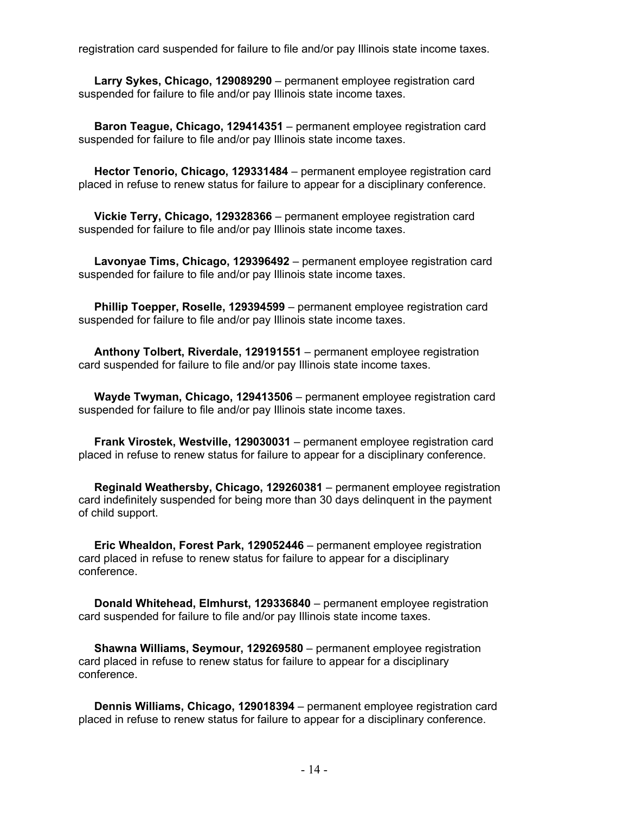registration card suspended for failure to file and/or pay Illinois state income taxes.

 **Larry Sykes, Chicago, 129089290** – permanent employee registration card suspended for failure to file and/or pay Illinois state income taxes.

 **Baron Teague, Chicago, 129414351** – permanent employee registration card suspended for failure to file and/or pay Illinois state income taxes.

 **Hector Tenorio, Chicago, 129331484** – permanent employee registration card placed in refuse to renew status for failure to appear for a disciplinary conference.

 **Vickie Terry, Chicago, 129328366** – permanent employee registration card suspended for failure to file and/or pay Illinois state income taxes.

 **Lavonyae Tims, Chicago, 129396492** – permanent employee registration card suspended for failure to file and/or pay Illinois state income taxes.

 **Phillip Toepper, Roselle, 129394599** – permanent employee registration card suspended for failure to file and/or pay Illinois state income taxes.

 **Anthony Tolbert, Riverdale, 129191551** – permanent employee registration card suspended for failure to file and/or pay Illinois state income taxes.

 **Wayde Twyman, Chicago, 129413506** – permanent employee registration card suspended for failure to file and/or pay Illinois state income taxes.

 **Frank Virostek, Westville, 129030031** – permanent employee registration card placed in refuse to renew status for failure to appear for a disciplinary conference.

 **Reginald Weathersby, Chicago, 129260381** – permanent employee registration card indefinitely suspended for being more than 30 days delinquent in the payment of child support.

 **Eric Whealdon, Forest Park, 129052446** – permanent employee registration card placed in refuse to renew status for failure to appear for a disciplinary conference.

 **Donald Whitehead, Elmhurst, 129336840** – permanent employee registration card suspended for failure to file and/or pay Illinois state income taxes.

 **Shawna Williams, Seymour, 129269580** – permanent employee registration card placed in refuse to renew status for failure to appear for a disciplinary conference.

 **Dennis Williams, Chicago, 129018394** – permanent employee registration card placed in refuse to renew status for failure to appear for a disciplinary conference.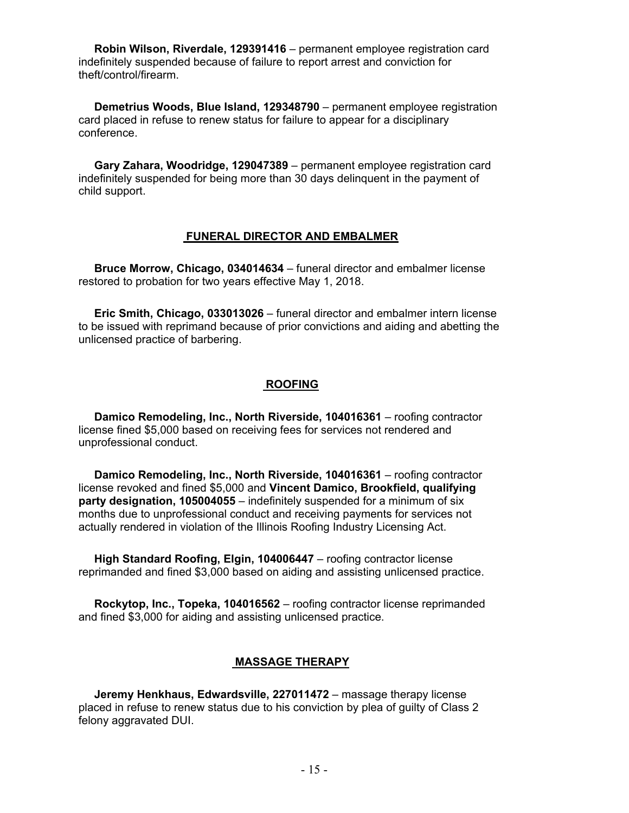**Robin Wilson, Riverdale, 129391416** – permanent employee registration card indefinitely suspended because of failure to report arrest and conviction for theft/control/firearm.

 **Demetrius Woods, Blue Island, 129348790** – permanent employee registration card placed in refuse to renew status for failure to appear for a disciplinary conference.

 **Gary Zahara, Woodridge, 129047389** – permanent employee registration card indefinitely suspended for being more than 30 days delinquent in the payment of child support.

#### **FUNERAL DIRECTOR AND EMBALMER**

 **Bruce Morrow, Chicago, 034014634** – funeral director and embalmer license restored to probation for two years effective May 1, 2018.

 **Eric Smith, Chicago, 033013026** – funeral director and embalmer intern license to be issued with reprimand because of prior convictions and aiding and abetting the unlicensed practice of barbering.

#### **ROOFING**

 **Damico Remodeling, Inc., North Riverside, 104016361** – roofing contractor license fined \$5,000 based on receiving fees for services not rendered and unprofessional conduct.

 **Damico Remodeling, Inc., North Riverside, 104016361** – roofing contractor license revoked and fined \$5,000 and **Vincent Damico, Brookfield, qualifying party designation, 105004055** – indefinitely suspended for a minimum of six months due to unprofessional conduct and receiving payments for services not actually rendered in violation of the Illinois Roofing Industry Licensing Act.

 **High Standard Roofing, Elgin, 104006447** – roofing contractor license reprimanded and fined \$3,000 based on aiding and assisting unlicensed practice.

 **Rockytop, Inc., Topeka, 104016562** – roofing contractor license reprimanded and fined \$3,000 for aiding and assisting unlicensed practice.

# **MASSAGE THERAPY**

 **Jeremy Henkhaus, Edwardsville, 227011472** – massage therapy license placed in refuse to renew status due to his conviction by plea of guilty of Class 2 felony aggravated DUI.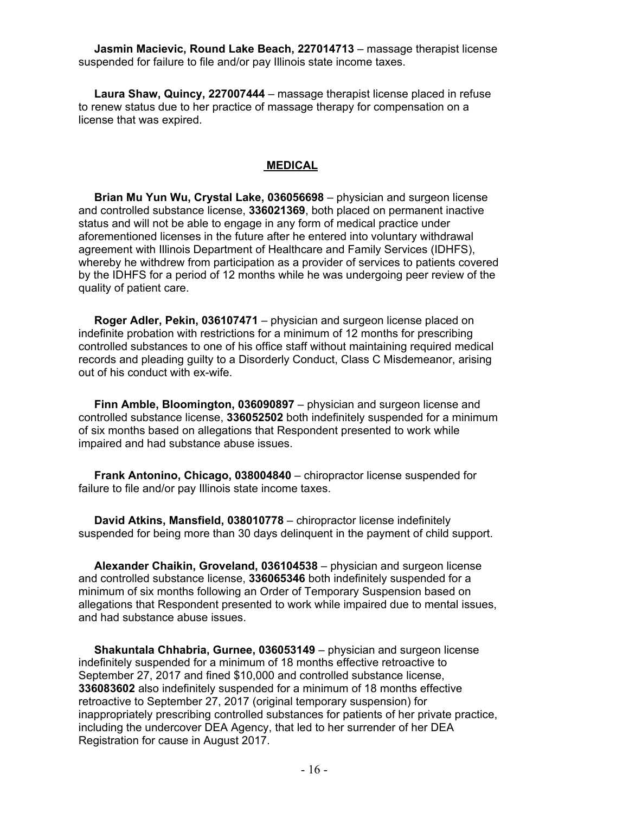**Jasmin Macievic, Round Lake Beach, 227014713** – massage therapist license suspended for failure to file and/or pay Illinois state income taxes.

 **Laura Shaw, Quincy, 227007444** – massage therapist license placed in refuse to renew status due to her practice of massage therapy for compensation on a license that was expired.

#### **MEDICAL**

 **Brian Mu Yun Wu, Crystal Lake, 036056698** – physician and surgeon license and controlled substance license, **336021369**, both placed on permanent inactive status and will not be able to engage in any form of medical practice under aforementioned licenses in the future after he entered into voluntary withdrawal agreement with Illinois Department of Healthcare and Family Services (IDHFS), whereby he withdrew from participation as a provider of services to patients covered by the IDHFS for a period of 12 months while he was undergoing peer review of the quality of patient care.

 **Roger Adler, Pekin, 036107471** – physician and surgeon license placed on indefinite probation with restrictions for a minimum of 12 months for prescribing controlled substances to one of his office staff without maintaining required medical records and pleading guilty to a Disorderly Conduct, Class C Misdemeanor, arising out of his conduct with ex-wife.

 **Finn Amble, Bloomington, 036090897** – physician and surgeon license and controlled substance license, **336052502** both indefinitely suspended for a minimum of six months based on allegations that Respondent presented to work while impaired and had substance abuse issues.

 **Frank Antonino, Chicago, 038004840** – chiropractor license suspended for failure to file and/or pay Illinois state income taxes.

 **David Atkins, Mansfield, 038010778** – chiropractor license indefinitely suspended for being more than 30 days delinquent in the payment of child support.

 **Alexander Chaikin, Groveland, 036104538** – physician and surgeon license and controlled substance license, **336065346** both indefinitely suspended for a minimum of six months following an Order of Temporary Suspension based on allegations that Respondent presented to work while impaired due to mental issues, and had substance abuse issues.

 **Shakuntala Chhabria, Gurnee, 036053149** – physician and surgeon license indefinitely suspended for a minimum of 18 months effective retroactive to September 27, 2017 and fined \$10,000 and controlled substance license, **336083602** also indefinitely suspended for a minimum of 18 months effective retroactive to September 27, 2017 (original temporary suspension) for inappropriately prescribing controlled substances for patients of her private practice, including the undercover DEA Agency, that led to her surrender of her DEA Registration for cause in August 2017.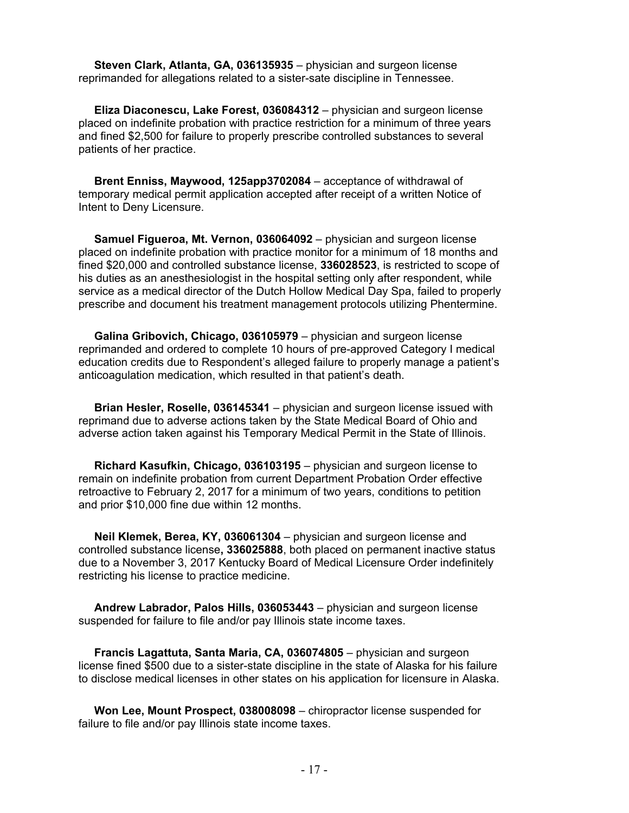**Steven Clark, Atlanta, GA, 036135935** – physician and surgeon license reprimanded for allegations related to a sister-sate discipline in Tennessee.

 **Eliza Diaconescu, Lake Forest, 036084312** – physician and surgeon license placed on indefinite probation with practice restriction for a minimum of three years and fined \$2,500 for failure to properly prescribe controlled substances to several patients of her practice.

 **Brent Enniss, Maywood, 125app3702084** – acceptance of withdrawal of temporary medical permit application accepted after receipt of a written Notice of Intent to Deny Licensure.

 **Samuel Figueroa, Mt. Vernon, 036064092** – physician and surgeon license placed on indefinite probation with practice monitor for a minimum of 18 months and fined \$20,000 and controlled substance license, **336028523**, is restricted to scope of his duties as an anesthesiologist in the hospital setting only after respondent, while service as a medical director of the Dutch Hollow Medical Day Spa, failed to properly prescribe and document his treatment management protocols utilizing Phentermine.

 **Galina Gribovich, Chicago, 036105979** – physician and surgeon license reprimanded and ordered to complete 10 hours of pre-approved Category I medical education credits due to Respondent's alleged failure to properly manage a patient's anticoagulation medication, which resulted in that patient's death.

 **Brian Hesler, Roselle, 036145341** – physician and surgeon license issued with reprimand due to adverse actions taken by the State Medical Board of Ohio and adverse action taken against his Temporary Medical Permit in the State of Illinois.

 **Richard Kasufkin, Chicago, 036103195** – physician and surgeon license to remain on indefinite probation from current Department Probation Order effective retroactive to February 2, 2017 for a minimum of two years, conditions to petition and prior \$10,000 fine due within 12 months.

 **Neil Klemek, Berea, KY, 036061304** – physician and surgeon license and controlled substance license**, 336025888**, both placed on permanent inactive status due to a November 3, 2017 Kentucky Board of Medical Licensure Order indefinitely restricting his license to practice medicine.

 **Andrew Labrador, Palos Hills, 036053443** – physician and surgeon license suspended for failure to file and/or pay Illinois state income taxes.

 **Francis Lagattuta, Santa Maria, CA, 036074805** – physician and surgeon license fined \$500 due to a sister-state discipline in the state of Alaska for his failure to disclose medical licenses in other states on his application for licensure in Alaska.

 **Won Lee, Mount Prospect, 038008098** – chiropractor license suspended for failure to file and/or pay Illinois state income taxes.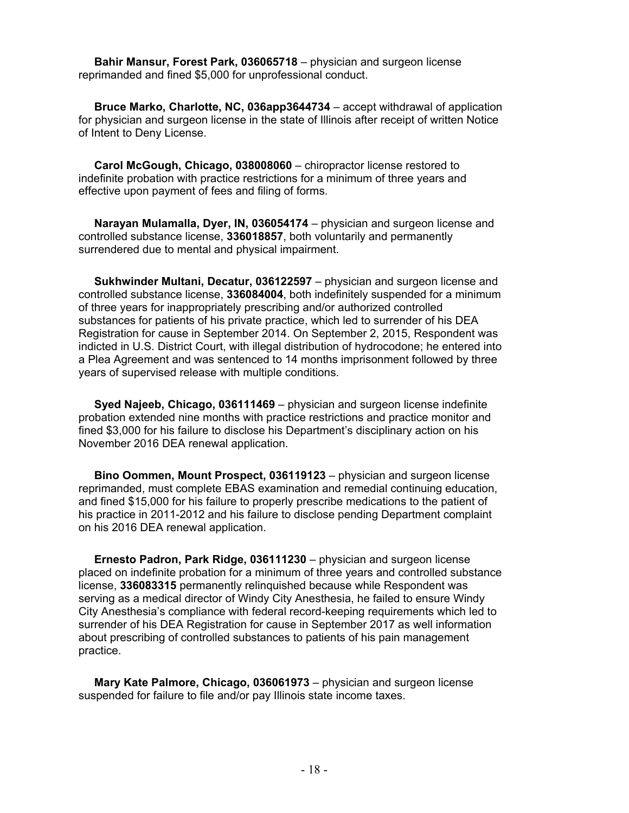**Bahir Mansur, Forest Park, 036065718** – physician and surgeon license reprimanded and fined \$5,000 for unprofessional conduct.

 **Bruce Marko, Charlotte, NC, 036app3644734** – accept withdrawal of application for physician and surgeon license in the state of Illinois after receipt of written Notice of Intent to Deny License.

 **Carol McGough, Chicago, 038008060** – chiropractor license restored to indefinite probation with practice restrictions for a minimum of three years and effective upon payment of fees and filing of forms.

 **Narayan Mulamalla, Dyer, IN, 036054174** – physician and surgeon license and controlled substance license, **336018857**, both voluntarily and permanently surrendered due to mental and physical impairment.

 **Sukhwinder Multani, Decatur, 036122597** – physician and surgeon license and controlled substance license, **336084004**, both indefinitely suspended for a minimum of three years for inappropriately prescribing and/or authorized controlled substances for patients of his private practice, which led to surrender of his DEA Registration for cause in September 2014. On September 2, 2015, Respondent was indicted in U.S. District Court, with illegal distribution of hydrocodone; he entered into a Plea Agreement and was sentenced to 14 months imprisonment followed by three years of supervised release with multiple conditions.

 **Syed Najeeb, Chicago, 036111469** – physician and surgeon license indefinite probation extended nine months with practice restrictions and practice monitor and fined \$3,000 for his failure to disclose his Department's disciplinary action on his November 2016 DEA renewal application.

 **Bino Oommen, Mount Prospect, 036119123** – physician and surgeon license reprimanded, must complete EBAS examination and remedial continuing education, and fined \$15,000 for his failure to properly prescribe medications to the patient of his practice in 2011-2012 and his failure to disclose pending Department complaint on his 2016 DEA renewal application.

 **Ernesto Padron, Park Ridge, 036111230** – physician and surgeon license placed on indefinite probation for a minimum of three years and controlled substance license, **336083315** permanently relinquished because while Respondent was serving as a medical director of Windy City Anesthesia, he failed to ensure Windy City Anesthesia's compliance with federal record-keeping requirements which led to surrender of his DEA Registration for cause in September 2017 as well information about prescribing of controlled substances to patients of his pain management practice.

 **Mary Kate Palmore, Chicago, 036061973** – physician and surgeon license suspended for failure to file and/or pay Illinois state income taxes.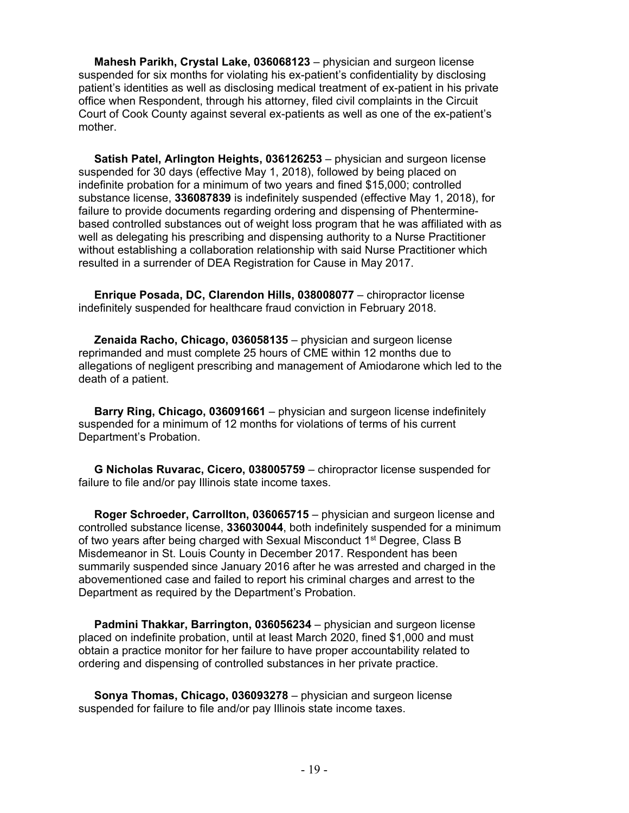**Mahesh Parikh, Crystal Lake, 036068123** – physician and surgeon license suspended for six months for violating his ex-patient's confidentiality by disclosing patient's identities as well as disclosing medical treatment of ex-patient in his private office when Respondent, through his attorney, filed civil complaints in the Circuit Court of Cook County against several ex-patients as well as one of the ex-patient's mother.

 **Satish Patel, Arlington Heights, 036126253** – physician and surgeon license suspended for 30 days (effective May 1, 2018), followed by being placed on indefinite probation for a minimum of two years and fined \$15,000; controlled substance license, **336087839** is indefinitely suspended (effective May 1, 2018), for failure to provide documents regarding ordering and dispensing of Phenterminebased controlled substances out of weight loss program that he was affiliated with as well as delegating his prescribing and dispensing authority to a Nurse Practitioner without establishing a collaboration relationship with said Nurse Practitioner which resulted in a surrender of DEA Registration for Cause in May 2017.

 **Enrique Posada, DC, Clarendon Hills, 038008077** – chiropractor license indefinitely suspended for healthcare fraud conviction in February 2018.

 **Zenaida Racho, Chicago, 036058135** – physician and surgeon license reprimanded and must complete 25 hours of CME within 12 months due to allegations of negligent prescribing and management of Amiodarone which led to the death of a patient.

 **Barry Ring, Chicago, 036091661** – physician and surgeon license indefinitely suspended for a minimum of 12 months for violations of terms of his current Department's Probation.

 **G Nicholas Ruvarac, Cicero, 038005759** – chiropractor license suspended for failure to file and/or pay Illinois state income taxes.

 **Roger Schroeder, Carrollton, 036065715** – physician and surgeon license and controlled substance license, **336030044**, both indefinitely suspended for a minimum of two years after being charged with Sexual Misconduct 1st Degree, Class B Misdemeanor in St. Louis County in December 2017. Respondent has been summarily suspended since January 2016 after he was arrested and charged in the abovementioned case and failed to report his criminal charges and arrest to the Department as required by the Department's Probation.

 **Padmini Thakkar, Barrington, 036056234** – physician and surgeon license placed on indefinite probation, until at least March 2020, fined \$1,000 and must obtain a practice monitor for her failure to have proper accountability related to ordering and dispensing of controlled substances in her private practice.

 **Sonya Thomas, Chicago, 036093278** – physician and surgeon license suspended for failure to file and/or pay Illinois state income taxes.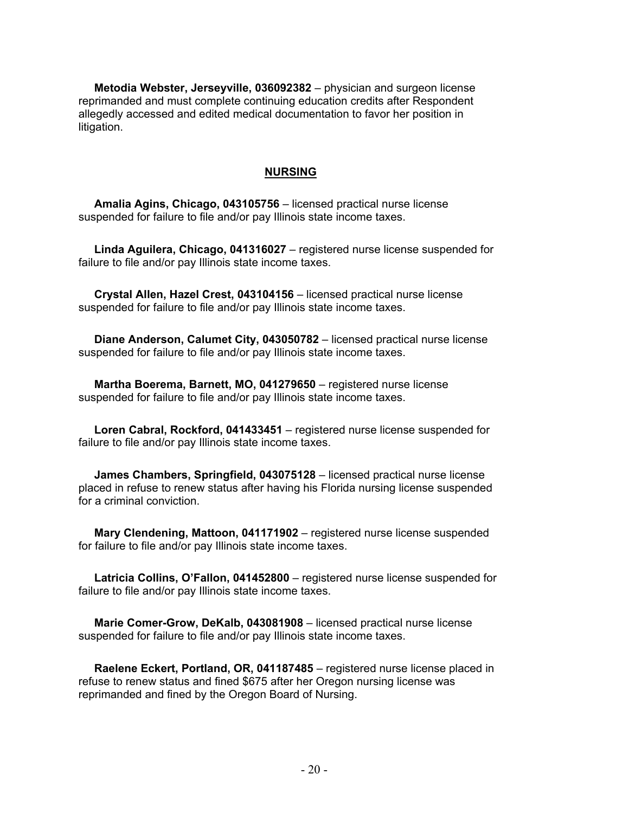**Metodia Webster, Jerseyville, 036092382** – physician and surgeon license reprimanded and must complete continuing education credits after Respondent allegedly accessed and edited medical documentation to favor her position in litigation.

#### **NURSING**

 **Amalia Agins, Chicago, 043105756** – licensed practical nurse license suspended for failure to file and/or pay Illinois state income taxes.

 **Linda Aguilera, Chicago, 041316027** – registered nurse license suspended for failure to file and/or pay Illinois state income taxes.

 **Crystal Allen, Hazel Crest, 043104156** – licensed practical nurse license suspended for failure to file and/or pay Illinois state income taxes.

 **Diane Anderson, Calumet City, 043050782** – licensed practical nurse license suspended for failure to file and/or pay Illinois state income taxes.

 **Martha Boerema, Barnett, MO, 041279650** – registered nurse license suspended for failure to file and/or pay Illinois state income taxes.

 **Loren Cabral, Rockford, 041433451** – registered nurse license suspended for failure to file and/or pay Illinois state income taxes.

 **James Chambers, Springfield, 043075128** – licensed practical nurse license placed in refuse to renew status after having his Florida nursing license suspended for a criminal conviction.

 **Mary Clendening, Mattoon, 041171902** – registered nurse license suspended for failure to file and/or pay Illinois state income taxes.

 **Latricia Collins, O'Fallon, 041452800** – registered nurse license suspended for failure to file and/or pay Illinois state income taxes.

 **Marie Comer-Grow, DeKalb, 043081908** – licensed practical nurse license suspended for failure to file and/or pay Illinois state income taxes.

 **Raelene Eckert, Portland, OR, 041187485** – registered nurse license placed in refuse to renew status and fined \$675 after her Oregon nursing license was reprimanded and fined by the Oregon Board of Nursing.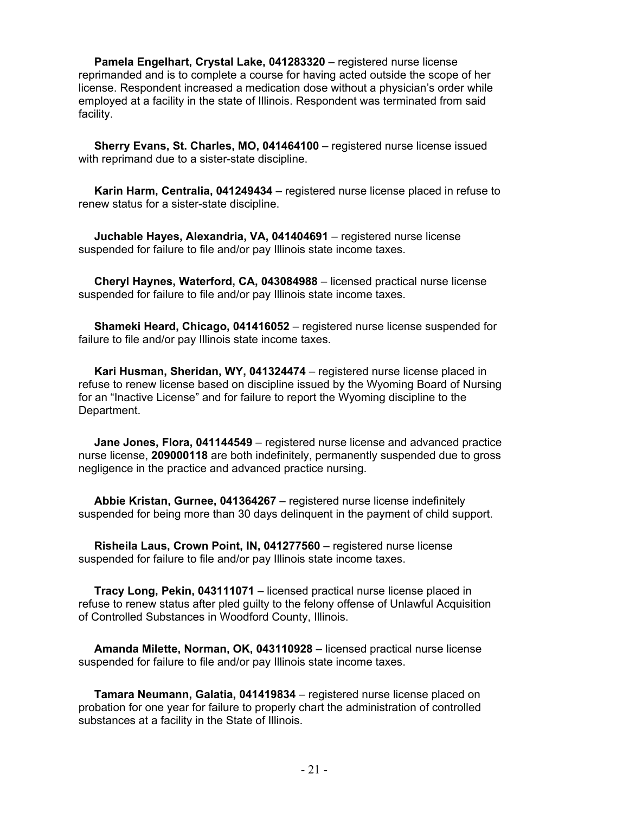**Pamela Engelhart, Crystal Lake, 041283320** – registered nurse license reprimanded and is to complete a course for having acted outside the scope of her license. Respondent increased a medication dose without a physician's order while employed at a facility in the state of Illinois. Respondent was terminated from said facility.

 **Sherry Evans, St. Charles, MO, 041464100** – registered nurse license issued with reprimand due to a sister-state discipline.

 **Karin Harm, Centralia, 041249434** – registered nurse license placed in refuse to renew status for a sister-state discipline.

 **Juchable Hayes, Alexandria, VA, 041404691** – registered nurse license suspended for failure to file and/or pay Illinois state income taxes.

 **Cheryl Haynes, Waterford, CA, 043084988** – licensed practical nurse license suspended for failure to file and/or pay Illinois state income taxes.

 **Shameki Heard, Chicago, 041416052** – registered nurse license suspended for failure to file and/or pay Illinois state income taxes.

 **Kari Husman, Sheridan, WY, 041324474** – registered nurse license placed in refuse to renew license based on discipline issued by the Wyoming Board of Nursing for an "Inactive License" and for failure to report the Wyoming discipline to the Department.

 **Jane Jones, Flora, 041144549** – registered nurse license and advanced practice nurse license, **209000118** are both indefinitely, permanently suspended due to gross negligence in the practice and advanced practice nursing.

 **Abbie Kristan, Gurnee, 041364267** – registered nurse license indefinitely suspended for being more than 30 days delinquent in the payment of child support.

 **Risheila Laus, Crown Point, IN, 041277560** – registered nurse license suspended for failure to file and/or pay Illinois state income taxes.

 **Tracy Long, Pekin, 043111071** – licensed practical nurse license placed in refuse to renew status after pled guilty to the felony offense of Unlawful Acquisition of Controlled Substances in Woodford County, Illinois.

 **Amanda Milette, Norman, OK, 043110928** – licensed practical nurse license suspended for failure to file and/or pay Illinois state income taxes.

 **Tamara Neumann, Galatia, 041419834** – registered nurse license placed on probation for one year for failure to properly chart the administration of controlled substances at a facility in the State of Illinois.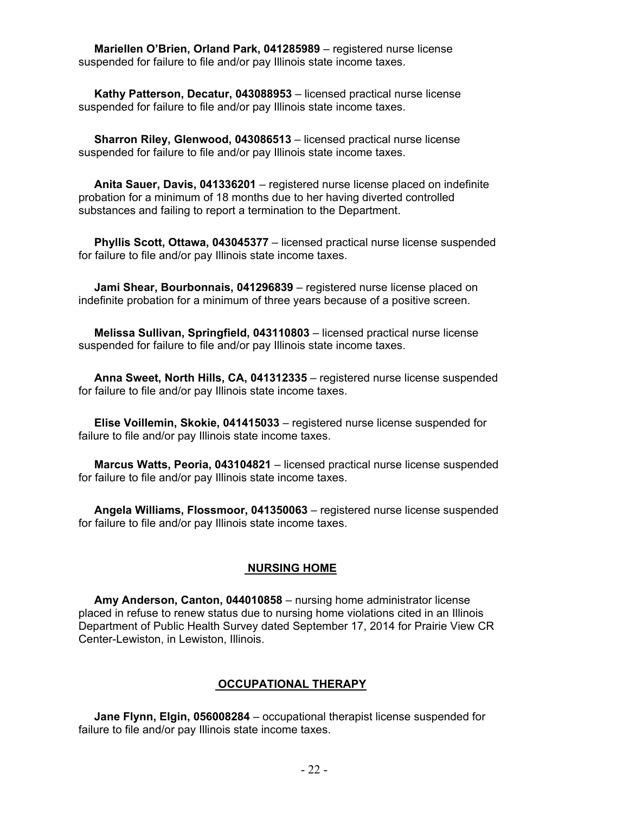**Mariellen O'Brien, Orland Park, 041285989** – registered nurse license suspended for failure to file and/or pay Illinois state income taxes.

 **Kathy Patterson, Decatur, 043088953** – licensed practical nurse license suspended for failure to file and/or pay Illinois state income taxes.

 **Sharron Riley, Glenwood, 043086513** – licensed practical nurse license suspended for failure to file and/or pay Illinois state income taxes.

 **Anita Sauer, Davis, 041336201** – registered nurse license placed on indefinite probation for a minimum of 18 months due to her having diverted controlled substances and failing to report a termination to the Department.

 **Phyllis Scott, Ottawa, 043045377** – licensed practical nurse license suspended for failure to file and/or pay Illinois state income taxes.

 **Jami Shear, Bourbonnais, 041296839** – registered nurse license placed on indefinite probation for a minimum of three years because of a positive screen.

 **Melissa Sullivan, Springfield, 043110803** – licensed practical nurse license suspended for failure to file and/or pay Illinois state income taxes.

 **Anna Sweet, North Hills, CA, 041312335** – registered nurse license suspended for failure to file and/or pay Illinois state income taxes.

 **Elise Voillemin, Skokie, 041415033** – registered nurse license suspended for failure to file and/or pay Illinois state income taxes.

 **Marcus Watts, Peoria, 043104821** – licensed practical nurse license suspended for failure to file and/or pay Illinois state income taxes.

 **Angela Williams, Flossmoor, 041350063** – registered nurse license suspended for failure to file and/or pay Illinois state income taxes.

#### **NURSING HOME**

 **Amy Anderson, Canton, 044010858** – nursing home administrator license placed in refuse to renew status due to nursing home violations cited in an Illinois Department of Public Health Survey dated September 17, 2014 for Prairie View CR Center-Lewiston, in Lewiston, Illinois.

#### **OCCUPATIONAL THERAPY**

 **Jane Flynn, Elgin, 056008284** – occupational therapist license suspended for failure to file and/or pay Illinois state income taxes.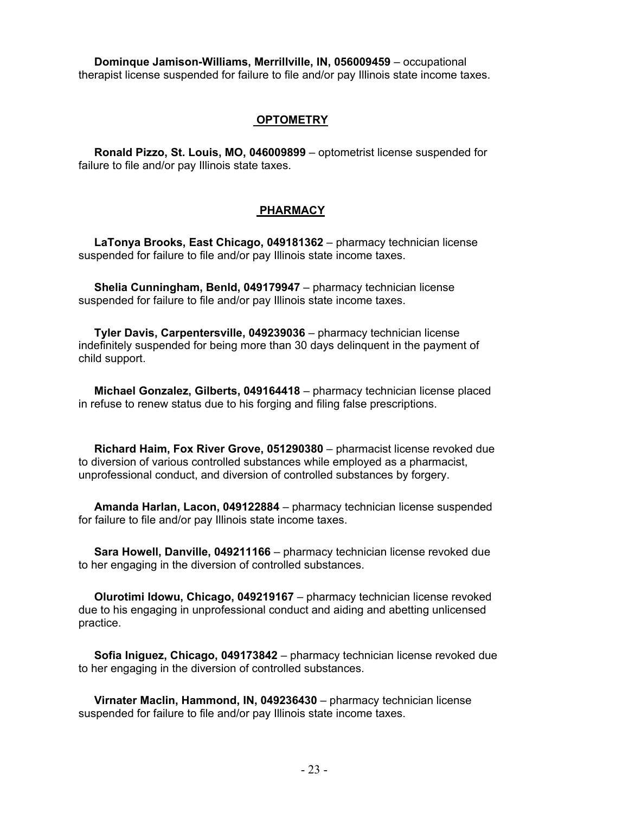**Dominque Jamison-Williams, Merrillville, IN, 056009459** – occupational therapist license suspended for failure to file and/or pay Illinois state income taxes.

### **OPTOMETRY**

 **Ronald Pizzo, St. Louis, MO, 046009899** – optometrist license suspended for failure to file and/or pay Illinois state taxes.

# **PHARMACY**

 **LaTonya Brooks, East Chicago, 049181362** – pharmacy technician license suspended for failure to file and/or pay Illinois state income taxes.

 **Shelia Cunningham, Benld, 049179947** – pharmacy technician license suspended for failure to file and/or pay Illinois state income taxes.

 **Tyler Davis, Carpentersville, 049239036** – pharmacy technician license indefinitely suspended for being more than 30 days delinquent in the payment of child support.

 **Michael Gonzalez, Gilberts, 049164418** – pharmacy technician license placed in refuse to renew status due to his forging and filing false prescriptions.

 **Richard Haim, Fox River Grove, 051290380** – pharmacist license revoked due to diversion of various controlled substances while employed as a pharmacist, unprofessional conduct, and diversion of controlled substances by forgery.

 **Amanda Harlan, Lacon, 049122884** – pharmacy technician license suspended for failure to file and/or pay Illinois state income taxes.

 **Sara Howell, Danville, 049211166** – pharmacy technician license revoked due to her engaging in the diversion of controlled substances.

 **Olurotimi Idowu, Chicago, 049219167** – pharmacy technician license revoked due to his engaging in unprofessional conduct and aiding and abetting unlicensed practice.

 **Sofia Iniguez, Chicago, 049173842** – pharmacy technician license revoked due to her engaging in the diversion of controlled substances.

 **Virnater Maclin, Hammond, IN, 049236430** – pharmacy technician license suspended for failure to file and/or pay Illinois state income taxes.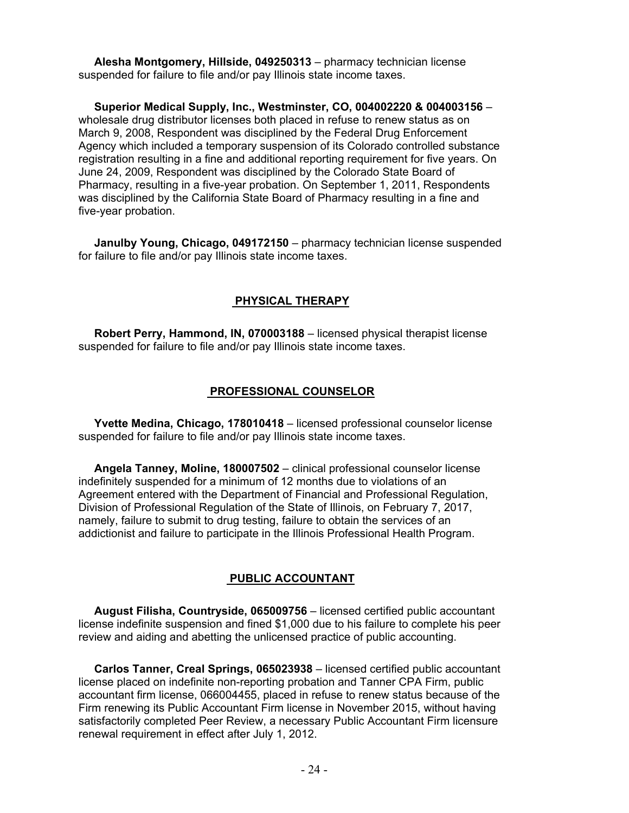**Alesha Montgomery, Hillside, 049250313** – pharmacy technician license suspended for failure to file and/or pay Illinois state income taxes.

 **Superior Medical Supply, Inc., Westminster, CO, 004002220 & 004003156** – wholesale drug distributor licenses both placed in refuse to renew status as on March 9, 2008, Respondent was disciplined by the Federal Drug Enforcement Agency which included a temporary suspension of its Colorado controlled substance registration resulting in a fine and additional reporting requirement for five years. On June 24, 2009, Respondent was disciplined by the Colorado State Board of Pharmacy, resulting in a five-year probation. On September 1, 2011, Respondents was disciplined by the California State Board of Pharmacy resulting in a fine and five-year probation.

 **Janulby Young, Chicago, 049172150** – pharmacy technician license suspended for failure to file and/or pay Illinois state income taxes.

#### **PHYSICAL THERAPY**

 **Robert Perry, Hammond, IN, 070003188** – licensed physical therapist license suspended for failure to file and/or pay Illinois state income taxes.

#### **PROFESSIONAL COUNSELOR**

 **Yvette Medina, Chicago, 178010418** – licensed professional counselor license suspended for failure to file and/or pay Illinois state income taxes.

 **Angela Tanney, Moline, 180007502** – clinical professional counselor license indefinitely suspended for a minimum of 12 months due to violations of an Agreement entered with the Department of Financial and Professional Regulation, Division of Professional Regulation of the State of Illinois, on February 7, 2017, namely, failure to submit to drug testing, failure to obtain the services of an addictionist and failure to participate in the Illinois Professional Health Program.

#### **PUBLIC ACCOUNTANT**

 **August Filisha, Countryside, 065009756** – licensed certified public accountant license indefinite suspension and fined \$1,000 due to his failure to complete his peer review and aiding and abetting the unlicensed practice of public accounting.

 **Carlos Tanner, Creal Springs, 065023938** – licensed certified public accountant license placed on indefinite non-reporting probation and Tanner CPA Firm, public accountant firm license, 066004455, placed in refuse to renew status because of the Firm renewing its Public Accountant Firm license in November 2015, without having satisfactorily completed Peer Review, a necessary Public Accountant Firm licensure renewal requirement in effect after July 1, 2012.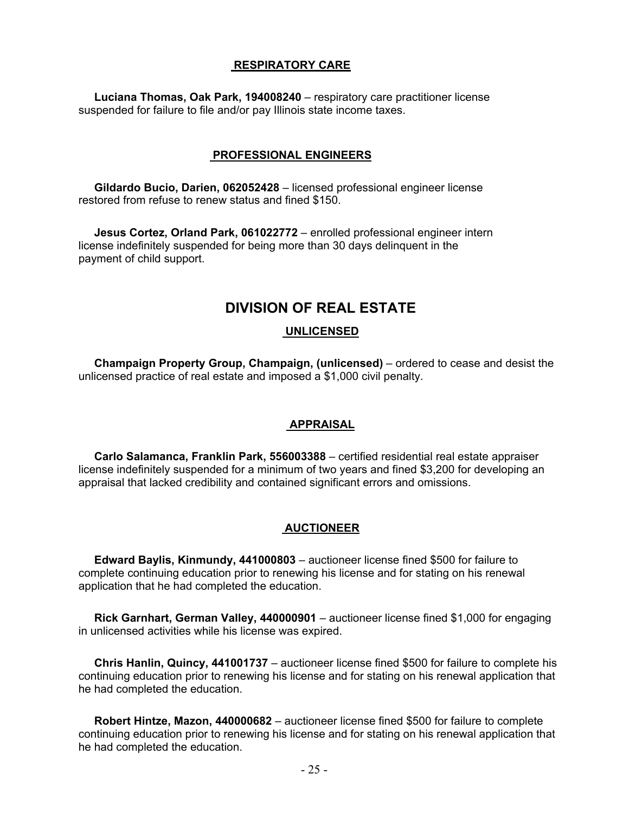#### **RESPIRATORY CARE**

 **Luciana Thomas, Oak Park, 194008240** – respiratory care practitioner license suspended for failure to file and/or pay Illinois state income taxes.

#### **PROFESSIONAL ENGINEERS**

 **Gildardo Bucio, Darien, 062052428** – licensed professional engineer license restored from refuse to renew status and fined \$150.

 **Jesus Cortez, Orland Park, 061022772** – enrolled professional engineer intern license indefinitely suspended for being more than 30 days delinquent in the payment of child support.

# **DIVISION OF REAL ESTATE**

# **UNLICENSED**

 **Champaign Property Group, Champaign, (unlicensed)** – ordered to cease and desist the unlicensed practice of real estate and imposed a \$1,000 civil penalty.

#### **APPRAISAL**

 **Carlo Salamanca, Franklin Park, 556003388** – certified residential real estate appraiser license indefinitely suspended for a minimum of two years and fined \$3,200 for developing an appraisal that lacked credibility and contained significant errors and omissions.

# **AUCTIONEER**

 **Edward Baylis, Kinmundy, 441000803** – auctioneer license fined \$500 for failure to complete continuing education prior to renewing his license and for stating on his renewal application that he had completed the education.

 **Rick Garnhart, German Valley, 440000901** – auctioneer license fined \$1,000 for engaging in unlicensed activities while his license was expired.

 **Chris Hanlin, Quincy, 441001737** – auctioneer license fined \$500 for failure to complete his continuing education prior to renewing his license and for stating on his renewal application that he had completed the education.

 **Robert Hintze, Mazon, 440000682** – auctioneer license fined \$500 for failure to complete continuing education prior to renewing his license and for stating on his renewal application that he had completed the education.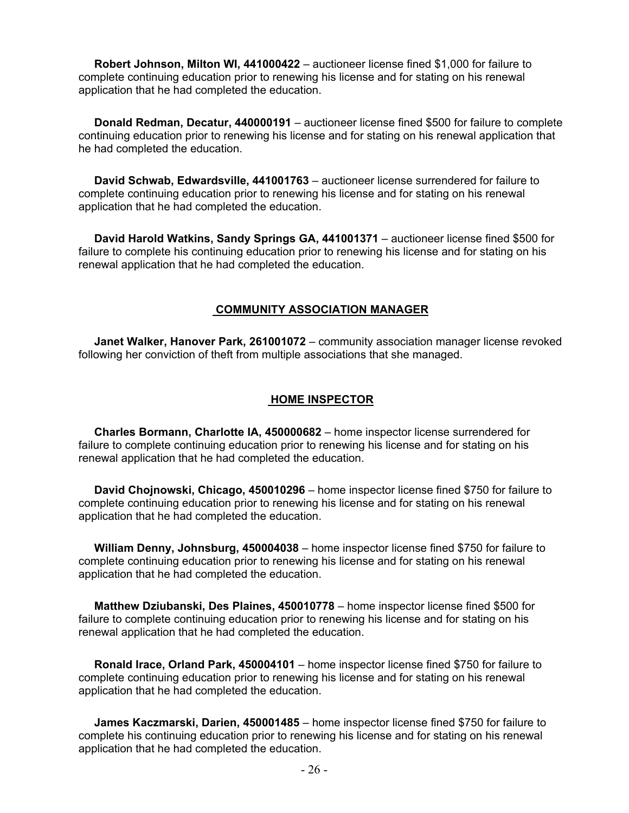**Robert Johnson, Milton WI, 441000422** – auctioneer license fined \$1,000 for failure to complete continuing education prior to renewing his license and for stating on his renewal application that he had completed the education.

 **Donald Redman, Decatur, 440000191** – auctioneer license fined \$500 for failure to complete continuing education prior to renewing his license and for stating on his renewal application that he had completed the education.

 **David Schwab, Edwardsville, 441001763** – auctioneer license surrendered for failure to complete continuing education prior to renewing his license and for stating on his renewal application that he had completed the education.

 **David Harold Watkins, Sandy Springs GA, 441001371** – auctioneer license fined \$500 for failure to complete his continuing education prior to renewing his license and for stating on his renewal application that he had completed the education.

# **COMMUNITY ASSOCIATION MANAGER**

 **Janet Walker, Hanover Park, 261001072** – community association manager license revoked following her conviction of theft from multiple associations that she managed.

#### **HOME INSPECTOR**

 **Charles Bormann, Charlotte IA, 450000682** – home inspector license surrendered for failure to complete continuing education prior to renewing his license and for stating on his renewal application that he had completed the education.

 **David Chojnowski, Chicago, 450010296** – home inspector license fined \$750 for failure to complete continuing education prior to renewing his license and for stating on his renewal application that he had completed the education.

 **William Denny, Johnsburg, 450004038** – home inspector license fined \$750 for failure to complete continuing education prior to renewing his license and for stating on his renewal application that he had completed the education.

 **Matthew Dziubanski, Des Plaines, 450010778** – home inspector license fined \$500 for failure to complete continuing education prior to renewing his license and for stating on his renewal application that he had completed the education.

 **Ronald Irace, Orland Park, 450004101** – home inspector license fined \$750 for failure to complete continuing education prior to renewing his license and for stating on his renewal application that he had completed the education.

 **James Kaczmarski, Darien, 450001485** – home inspector license fined \$750 for failure to complete his continuing education prior to renewing his license and for stating on his renewal application that he had completed the education.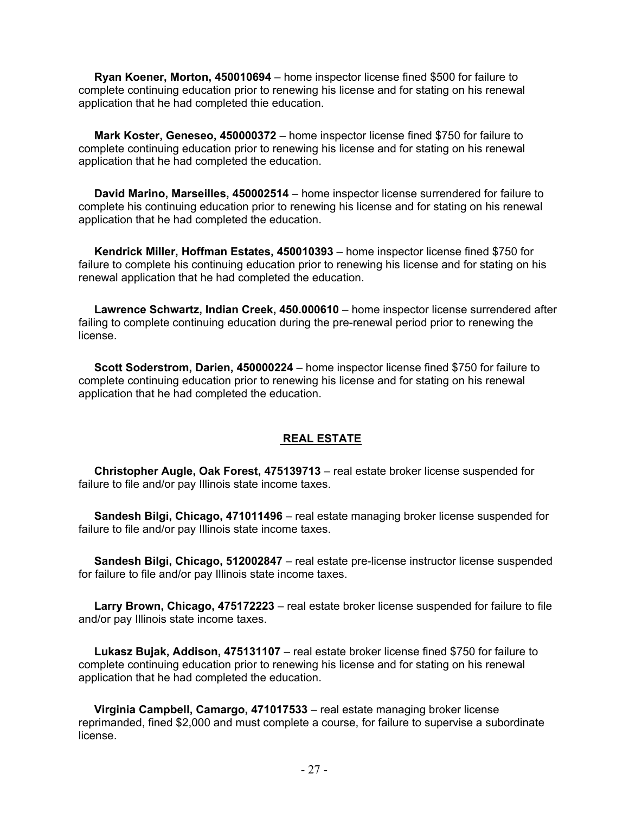**Ryan Koener, Morton, 450010694** – home inspector license fined \$500 for failure to complete continuing education prior to renewing his license and for stating on his renewal application that he had completed thie education.

 **Mark Koster, Geneseo, 450000372** – home inspector license fined \$750 for failure to complete continuing education prior to renewing his license and for stating on his renewal application that he had completed the education.

 **David Marino, Marseilles, 450002514** – home inspector license surrendered for failure to complete his continuing education prior to renewing his license and for stating on his renewal application that he had completed the education.

 **Kendrick Miller, Hoffman Estates, 450010393** – home inspector license fined \$750 for failure to complete his continuing education prior to renewing his license and for stating on his renewal application that he had completed the education.

 **Lawrence Schwartz, Indian Creek, 450.000610** – home inspector license surrendered after failing to complete continuing education during the pre-renewal period prior to renewing the license.

 **Scott Soderstrom, Darien, 450000224** – home inspector license fined \$750 for failure to complete continuing education prior to renewing his license and for stating on his renewal application that he had completed the education.

# **REAL ESTATE**

 **Christopher Augle, Oak Forest, 475139713** – real estate broker license suspended for failure to file and/or pay Illinois state income taxes.

 **Sandesh Bilgi, Chicago, 471011496** – real estate managing broker license suspended for failure to file and/or pay Illinois state income taxes.

 **Sandesh Bilgi, Chicago, 512002847** – real estate pre-license instructor license suspended for failure to file and/or pay Illinois state income taxes.

 **Larry Brown, Chicago, 475172223** – real estate broker license suspended for failure to file and/or pay Illinois state income taxes.

 **Lukasz Bujak, Addison, 475131107** – real estate broker license fined \$750 for failure to complete continuing education prior to renewing his license and for stating on his renewal application that he had completed the education.

 **Virginia Campbell, Camargo, 471017533** – real estate managing broker license reprimanded, fined \$2,000 and must complete a course, for failure to supervise a subordinate license.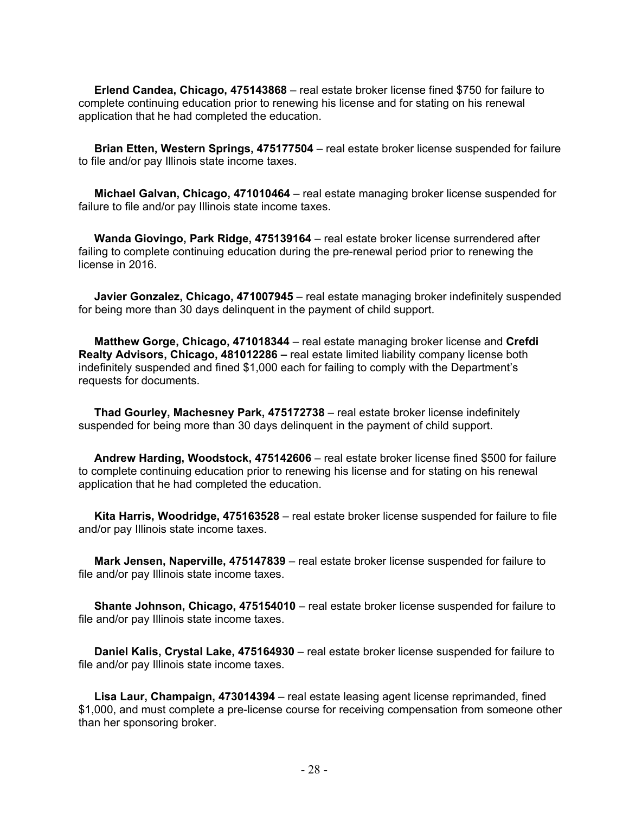**Erlend Candea, Chicago, 475143868** – real estate broker license fined \$750 for failure to complete continuing education prior to renewing his license and for stating on his renewal application that he had completed the education.

 **Brian Etten, Western Springs, 475177504** – real estate broker license suspended for failure to file and/or pay Illinois state income taxes.

 **Michael Galvan, Chicago, 471010464** – real estate managing broker license suspended for failure to file and/or pay Illinois state income taxes.

 **Wanda Giovingo, Park Ridge, 475139164** – real estate broker license surrendered after failing to complete continuing education during the pre-renewal period prior to renewing the license in 2016.

 **Javier Gonzalez, Chicago, 471007945** – real estate managing broker indefinitely suspended for being more than 30 days delinquent in the payment of child support.

 **Matthew Gorge, Chicago, 471018344** – real estate managing broker license and **Crefdi Realty Advisors, Chicago, 481012286 –** real estate limited liability company license both indefinitely suspended and fined \$1,000 each for failing to comply with the Department's requests for documents.

 **Thad Gourley, Machesney Park, 475172738** – real estate broker license indefinitely suspended for being more than 30 days delinquent in the payment of child support.

 **Andrew Harding, Woodstock, 475142606** – real estate broker license fined \$500 for failure to complete continuing education prior to renewing his license and for stating on his renewal application that he had completed the education.

 **Kita Harris, Woodridge, 475163528** – real estate broker license suspended for failure to file and/or pay Illinois state income taxes.

 **Mark Jensen, Naperville, 475147839** – real estate broker license suspended for failure to file and/or pay Illinois state income taxes.

 **Shante Johnson, Chicago, 475154010** – real estate broker license suspended for failure to file and/or pay Illinois state income taxes.

 **Daniel Kalis, Crystal Lake, 475164930** – real estate broker license suspended for failure to file and/or pay Illinois state income taxes.

 **Lisa Laur, Champaign, 473014394** – real estate leasing agent license reprimanded, fined \$1,000, and must complete a pre-license course for receiving compensation from someone other than her sponsoring broker.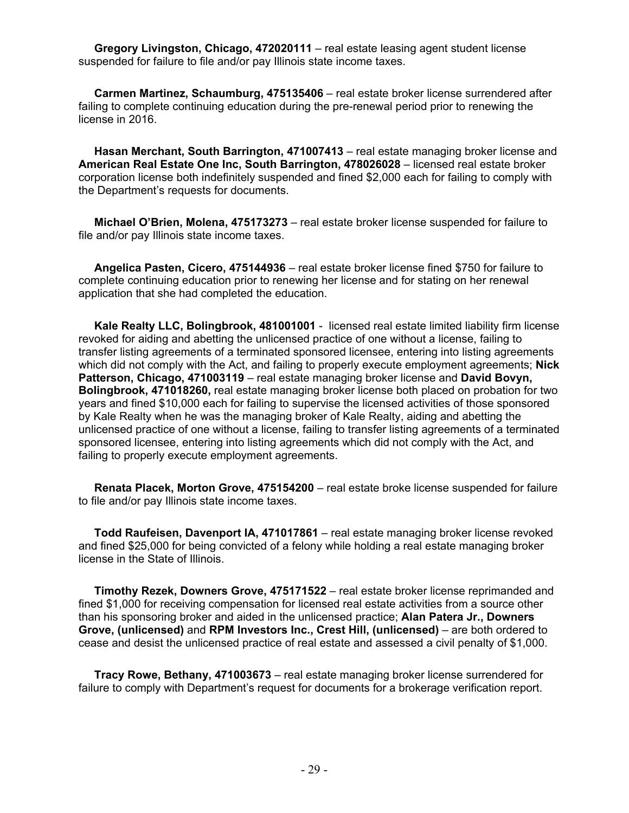**Gregory Livingston, Chicago, 472020111** – real estate leasing agent student license suspended for failure to file and/or pay Illinois state income taxes.

 **Carmen Martinez, Schaumburg, 475135406** – real estate broker license surrendered after failing to complete continuing education during the pre-renewal period prior to renewing the license in 2016.

 **Hasan Merchant, South Barrington, 471007413** – real estate managing broker license and **American Real Estate One Inc, South Barrington, 478026028** – licensed real estate broker corporation license both indefinitely suspended and fined \$2,000 each for failing to comply with the Department's requests for documents.

 **Michael O'Brien, Molena, 475173273** – real estate broker license suspended for failure to file and/or pay Illinois state income taxes.

 **Angelica Pasten, Cicero, 475144936** – real estate broker license fined \$750 for failure to complete continuing education prior to renewing her license and for stating on her renewal application that she had completed the education.

 **Kale Realty LLC, Bolingbrook, 481001001** - licensed real estate limited liability firm license revoked for aiding and abetting the unlicensed practice of one without a license, failing to transfer listing agreements of a terminated sponsored licensee, entering into listing agreements which did not comply with the Act, and failing to properly execute employment agreements; **Nick Patterson, Chicago, 471003119** – real estate managing broker license and **David Bovyn, Bolingbrook, 471018260,** real estate managing broker license both placed on probation for two years and fined \$10,000 each for failing to supervise the licensed activities of those sponsored by Kale Realty when he was the managing broker of Kale Realty, aiding and abetting the unlicensed practice of one without a license, failing to transfer listing agreements of a terminated sponsored licensee, entering into listing agreements which did not comply with the Act, and failing to properly execute employment agreements.

 **Renata Placek, Morton Grove, 475154200** – real estate broke license suspended for failure to file and/or pay Illinois state income taxes.

 **Todd Raufeisen, Davenport IA, 471017861** – real estate managing broker license revoked and fined \$25,000 for being convicted of a felony while holding a real estate managing broker license in the State of Illinois.

 **Timothy Rezek, Downers Grove, 475171522** – real estate broker license reprimanded and fined \$1,000 for receiving compensation for licensed real estate activities from a source other than his sponsoring broker and aided in the unlicensed practice; **Alan Patera Jr., Downers Grove, (unlicensed)** and **RPM Investors Inc., Crest Hill, (unlicensed)** – are both ordered to cease and desist the unlicensed practice of real estate and assessed a civil penalty of \$1,000.

 **Tracy Rowe, Bethany, 471003673** – real estate managing broker license surrendered for failure to comply with Department's request for documents for a brokerage verification report.